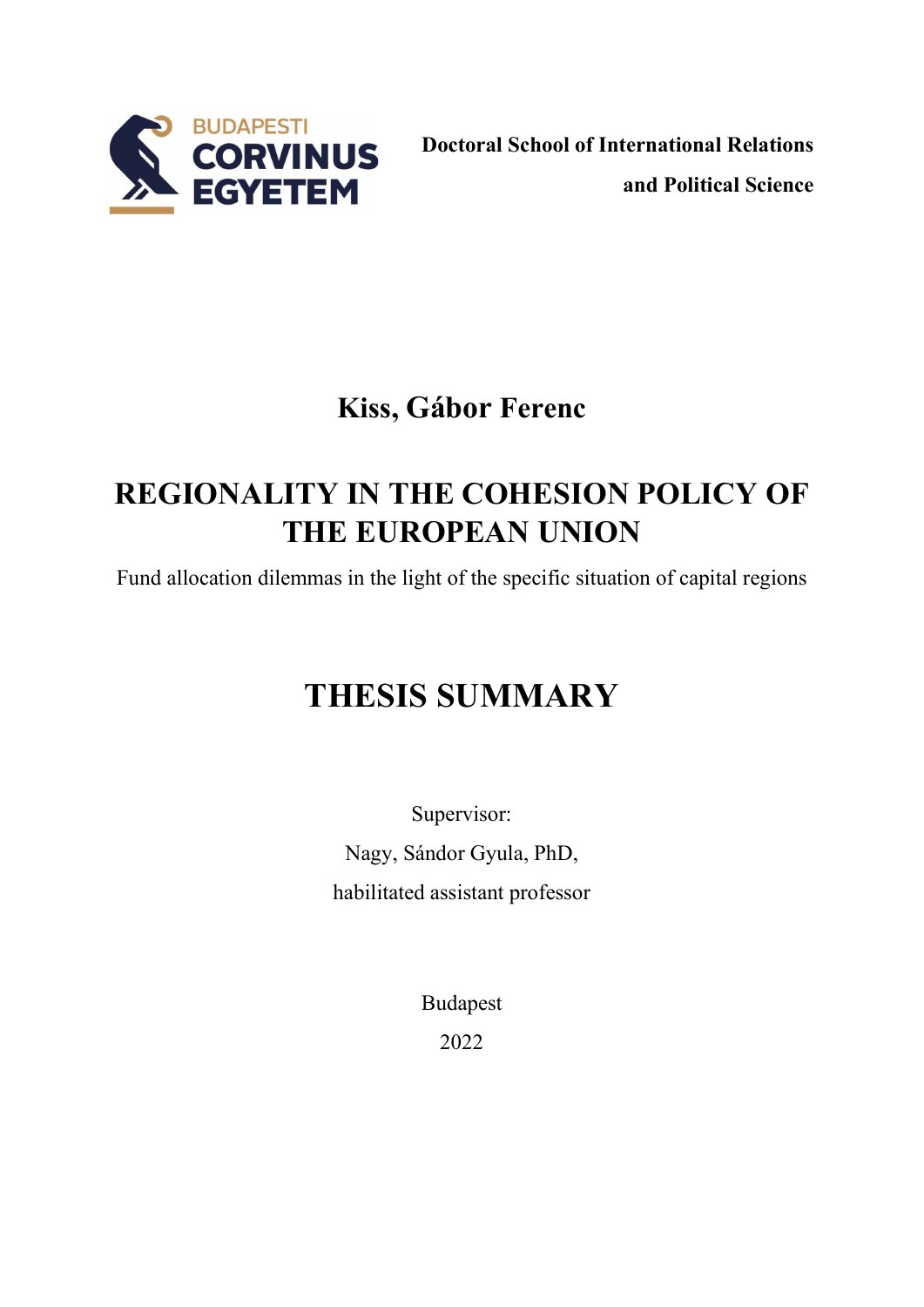

# Kiss, Gábor Ferenc

# REGIONALITY IN THE COHESION POLICY OF THE EUROPEAN UNION

Fund allocation dilemmas in the light of the specific situation of capital regions

# THESIS SUMMARY

Supervisor: Nagy, Sándor Gyula, PhD, habilitated assistant professor

> Budapest 2022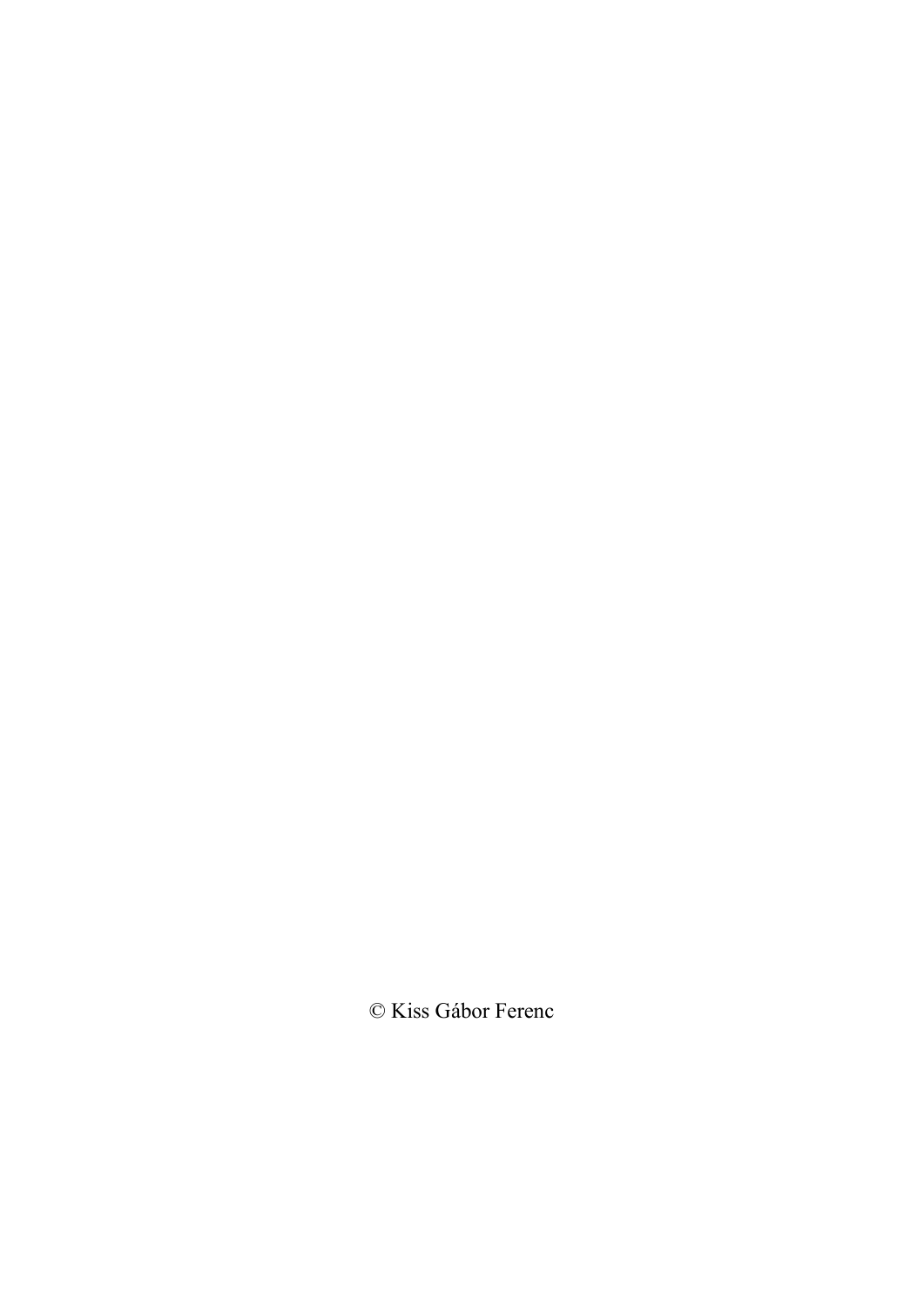© Kiss Gábor Ferenc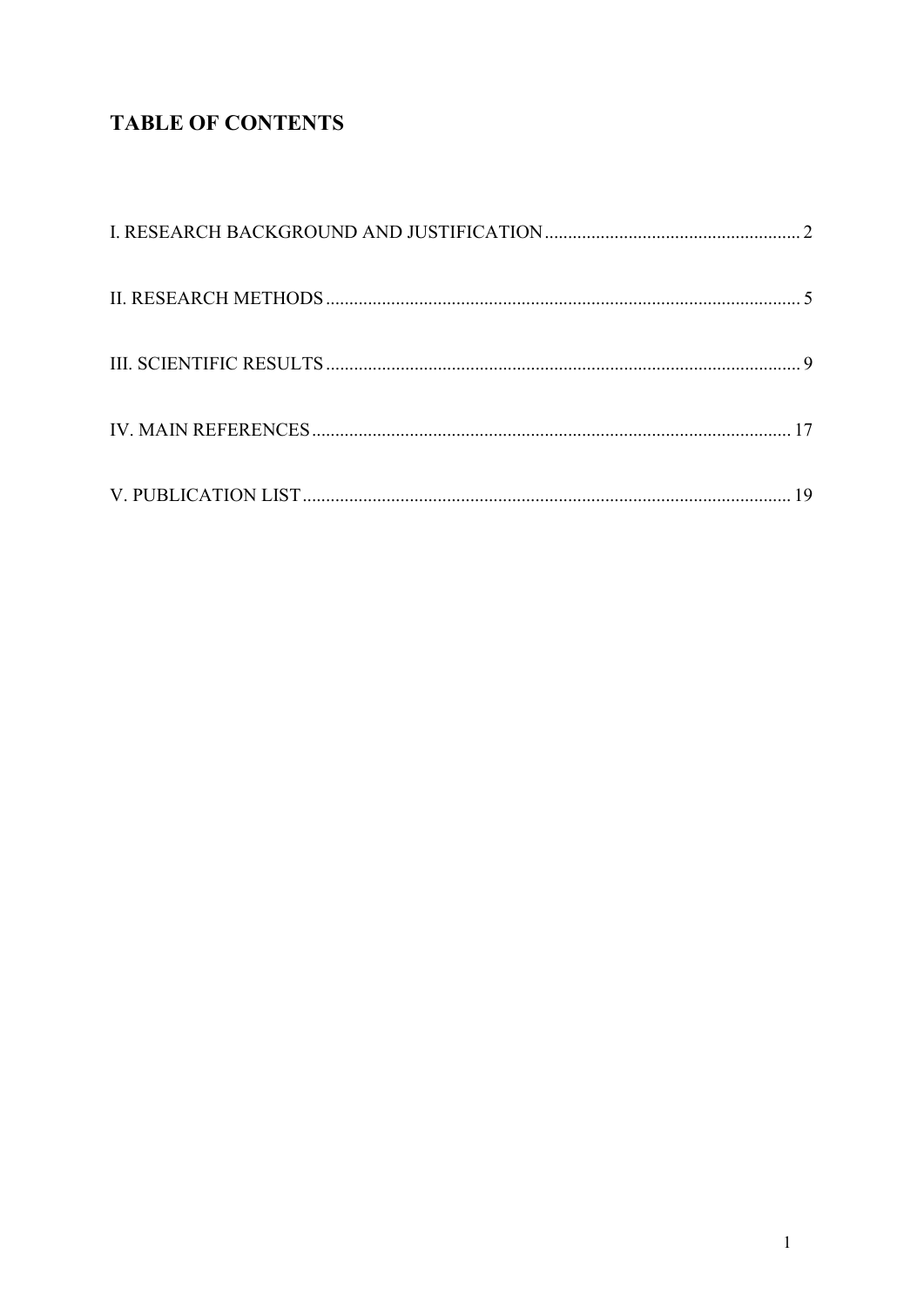## **TABLE OF CONTENTS**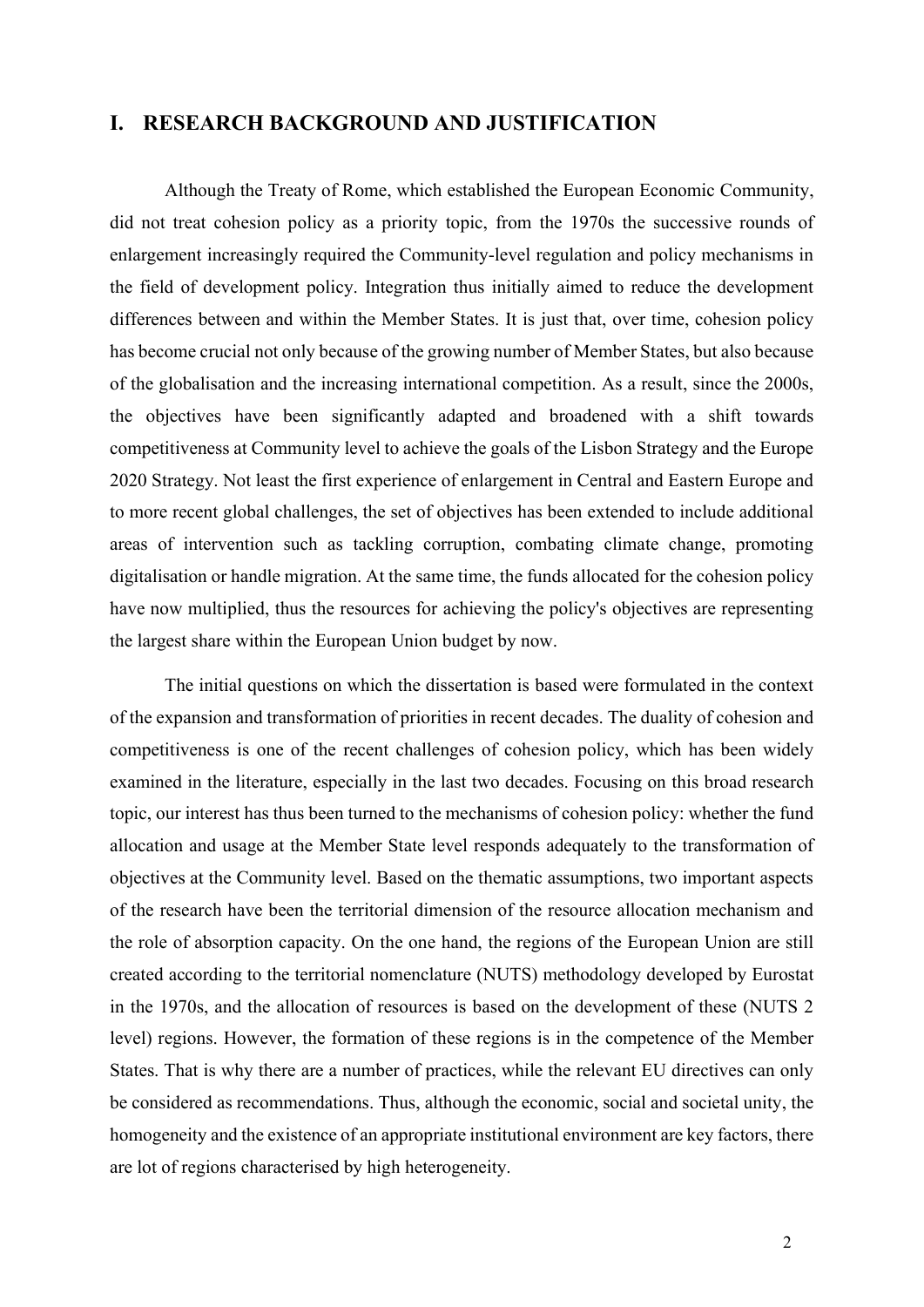#### I. RESEARCH BACKGROUND AND JUSTIFICATION

Although the Treaty of Rome, which established the European Economic Community, did not treat cohesion policy as a priority topic, from the 1970s the successive rounds of enlargement increasingly required the Community-level regulation and policy mechanisms in the field of development policy. Integration thus initially aimed to reduce the development differences between and within the Member States. It is just that, over time, cohesion policy has become crucial not only because of the growing number of Member States, but also because of the globalisation and the increasing international competition. As a result, since the 2000s, the objectives have been significantly adapted and broadened with a shift towards competitiveness at Community level to achieve the goals of the Lisbon Strategy and the Europe 2020 Strategy. Not least the first experience of enlargement in Central and Eastern Europe and to more recent global challenges, the set of objectives has been extended to include additional areas of intervention such as tackling corruption, combating climate change, promoting digitalisation or handle migration. At the same time, the funds allocated for the cohesion policy have now multiplied, thus the resources for achieving the policy's objectives are representing the largest share within the European Union budget by now.

The initial questions on which the dissertation is based were formulated in the context of the expansion and transformation of priorities in recent decades. The duality of cohesion and competitiveness is one of the recent challenges of cohesion policy, which has been widely examined in the literature, especially in the last two decades. Focusing on this broad research topic, our interest has thus been turned to the mechanisms of cohesion policy: whether the fund allocation and usage at the Member State level responds adequately to the transformation of objectives at the Community level. Based on the thematic assumptions, two important aspects of the research have been the territorial dimension of the resource allocation mechanism and the role of absorption capacity. On the one hand, the regions of the European Union are still created according to the territorial nomenclature (NUTS) methodology developed by Eurostat in the 1970s, and the allocation of resources is based on the development of these (NUTS 2 level) regions. However, the formation of these regions is in the competence of the Member States. That is why there are a number of practices, while the relevant EU directives can only be considered as recommendations. Thus, although the economic, social and societal unity, the homogeneity and the existence of an appropriate institutional environment are key factors, there are lot of regions characterised by high heterogeneity.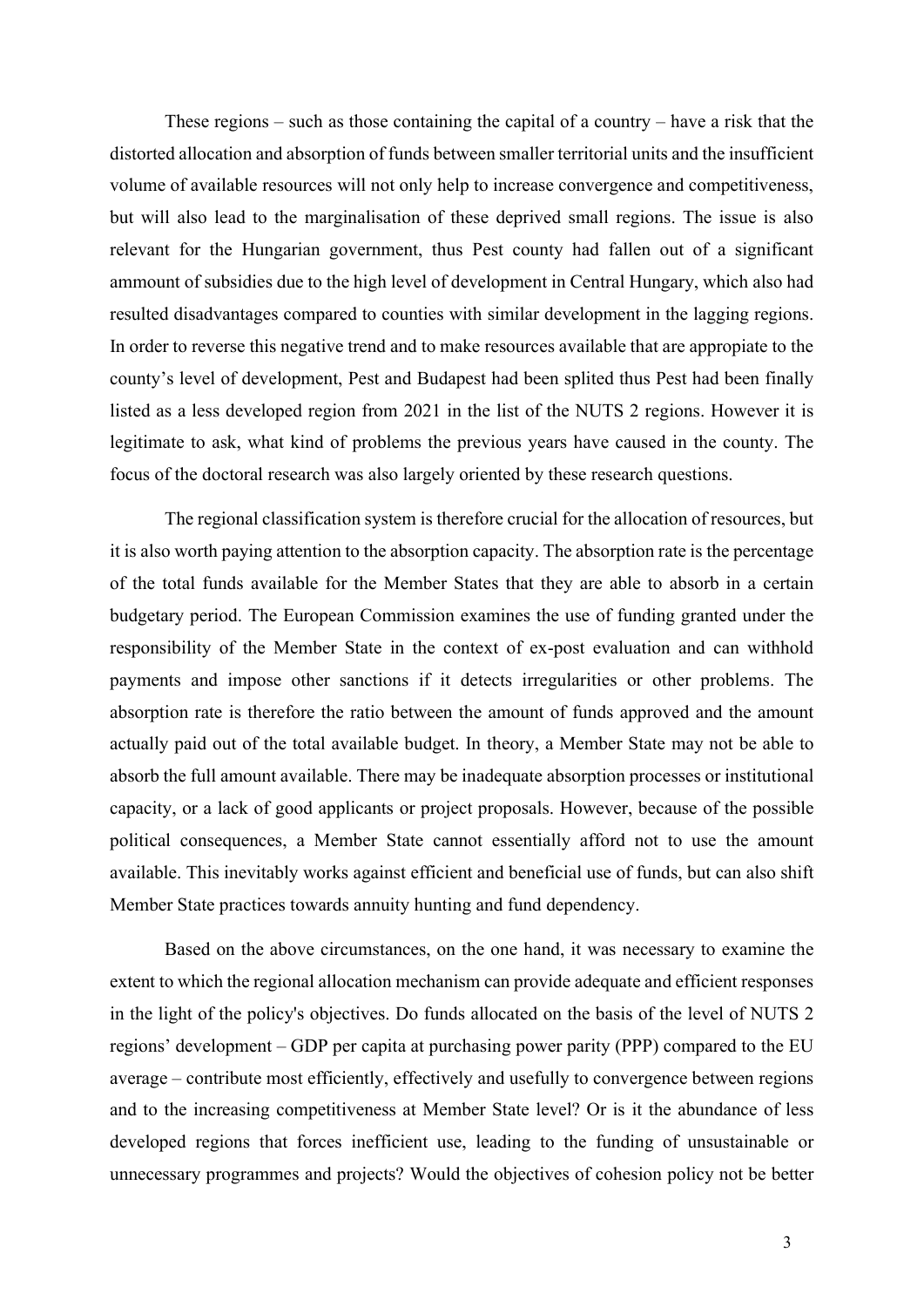These regions – such as those containing the capital of a country – have a risk that the distorted allocation and absorption of funds between smaller territorial units and the insufficient volume of available resources will not only help to increase convergence and competitiveness, but will also lead to the marginalisation of these deprived small regions. The issue is also relevant for the Hungarian government, thus Pest county had fallen out of a significant ammount of subsidies due to the high level of development in Central Hungary, which also had resulted disadvantages compared to counties with similar development in the lagging regions. In order to reverse this negative trend and to make resources available that are appropiate to the county's level of development, Pest and Budapest had been splited thus Pest had been finally listed as a less developed region from 2021 in the list of the NUTS 2 regions. However it is legitimate to ask, what kind of problems the previous years have caused in the county. The focus of the doctoral research was also largely oriented by these research questions.

The regional classification system is therefore crucial for the allocation of resources, but it is also worth paying attention to the absorption capacity. The absorption rate is the percentage of the total funds available for the Member States that they are able to absorb in a certain budgetary period. The European Commission examines the use of funding granted under the responsibility of the Member State in the context of ex-post evaluation and can withhold payments and impose other sanctions if it detects irregularities or other problems. The absorption rate is therefore the ratio between the amount of funds approved and the amount actually paid out of the total available budget. In theory, a Member State may not be able to absorb the full amount available. There may be inadequate absorption processes or institutional capacity, or a lack of good applicants or project proposals. However, because of the possible political consequences, a Member State cannot essentially afford not to use the amount available. This inevitably works against efficient and beneficial use of funds, but can also shift Member State practices towards annuity hunting and fund dependency.

Based on the above circumstances, on the one hand, it was necessary to examine the extent to which the regional allocation mechanism can provide adequate and efficient responses in the light of the policy's objectives. Do funds allocated on the basis of the level of NUTS 2 regions' development – GDP per capita at purchasing power parity (PPP) compared to the EU average – contribute most efficiently, effectively and usefully to convergence between regions and to the increasing competitiveness at Member State level? Or is it the abundance of less developed regions that forces inefficient use, leading to the funding of unsustainable or unnecessary programmes and projects? Would the objectives of cohesion policy not be better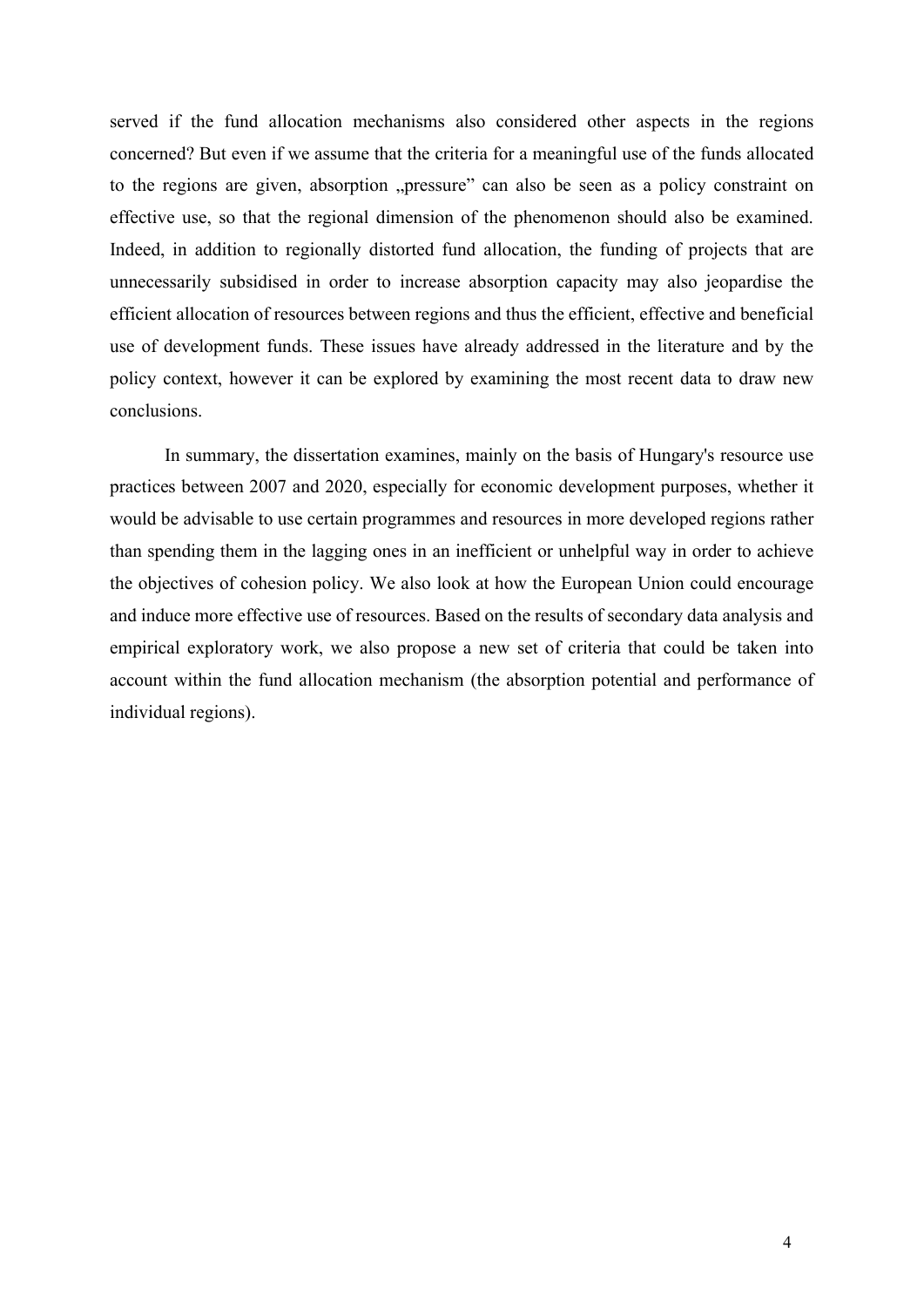served if the fund allocation mechanisms also considered other aspects in the regions concerned? But even if we assume that the criteria for a meaningful use of the funds allocated to the regions are given, absorption "pressure" can also be seen as a policy constraint on effective use, so that the regional dimension of the phenomenon should also be examined. Indeed, in addition to regionally distorted fund allocation, the funding of projects that are unnecessarily subsidised in order to increase absorption capacity may also jeopardise the efficient allocation of resources between regions and thus the efficient, effective and beneficial use of development funds. These issues have already addressed in the literature and by the policy context, however it can be explored by examining the most recent data to draw new conclusions.

In summary, the dissertation examines, mainly on the basis of Hungary's resource use practices between 2007 and 2020, especially for economic development purposes, whether it would be advisable to use certain programmes and resources in more developed regions rather than spending them in the lagging ones in an inefficient or unhelpful way in order to achieve the objectives of cohesion policy. We also look at how the European Union could encourage and induce more effective use of resources. Based on the results of secondary data analysis and empirical exploratory work, we also propose a new set of criteria that could be taken into account within the fund allocation mechanism (the absorption potential and performance of individual regions).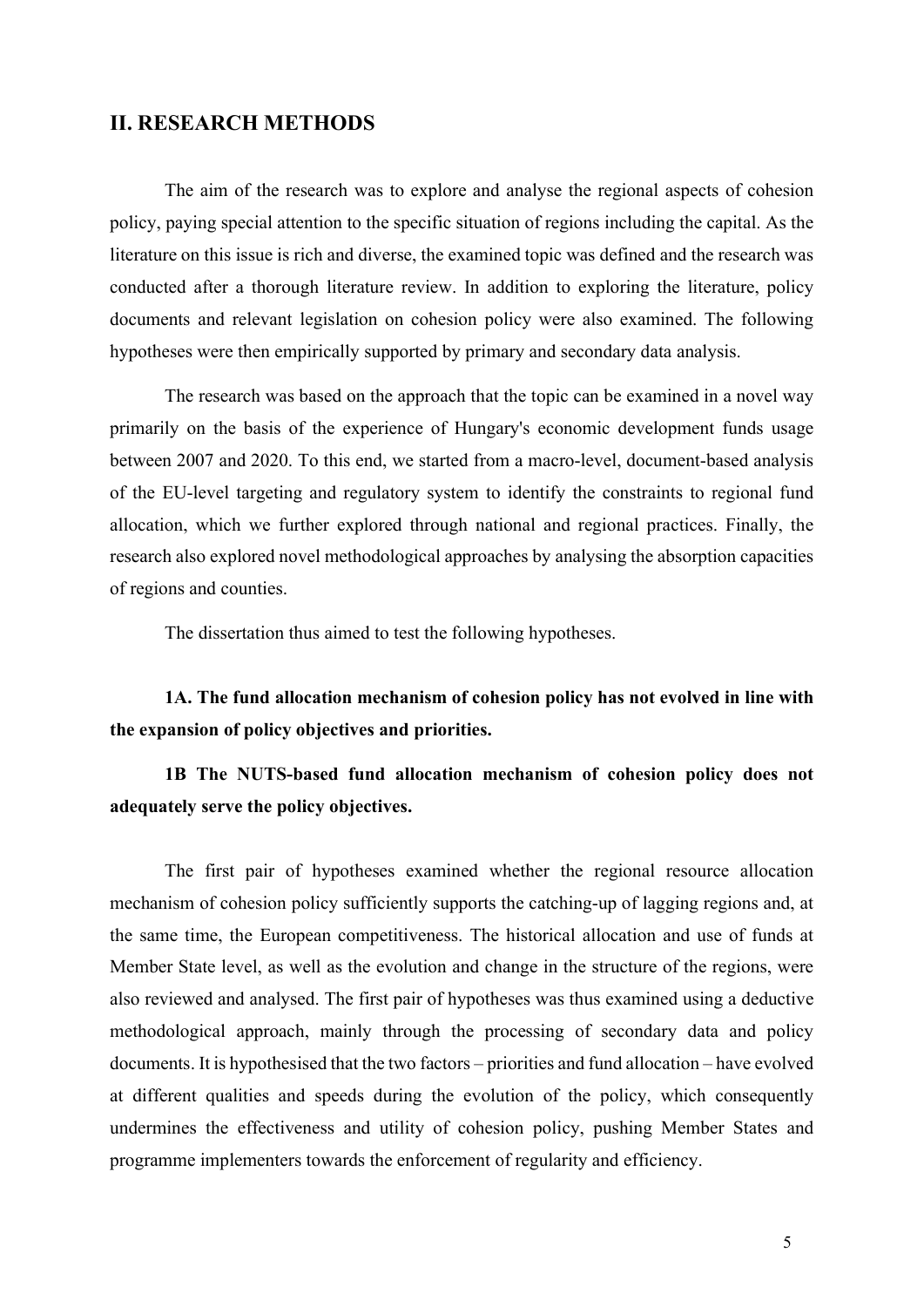#### II. RESEARCH METHODS

The aim of the research was to explore and analyse the regional aspects of cohesion policy, paying special attention to the specific situation of regions including the capital. As the literature on this issue is rich and diverse, the examined topic was defined and the research was conducted after a thorough literature review. In addition to exploring the literature, policy documents and relevant legislation on cohesion policy were also examined. The following hypotheses were then empirically supported by primary and secondary data analysis.

The research was based on the approach that the topic can be examined in a novel way primarily on the basis of the experience of Hungary's economic development funds usage between 2007 and 2020. To this end, we started from a macro-level, document-based analysis of the EU-level targeting and regulatory system to identify the constraints to regional fund allocation, which we further explored through national and regional practices. Finally, the research also explored novel methodological approaches by analysing the absorption capacities of regions and counties.

The dissertation thus aimed to test the following hypotheses.

1A. The fund allocation mechanism of cohesion policy has not evolved in line with the expansion of policy objectives and priorities.

1B The NUTS-based fund allocation mechanism of cohesion policy does not adequately serve the policy objectives.

The first pair of hypotheses examined whether the regional resource allocation mechanism of cohesion policy sufficiently supports the catching-up of lagging regions and, at the same time, the European competitiveness. The historical allocation and use of funds at Member State level, as well as the evolution and change in the structure of the regions, were also reviewed and analysed. The first pair of hypotheses was thus examined using a deductive methodological approach, mainly through the processing of secondary data and policy documents. It is hypothesised that the two factors – priorities and fund allocation – have evolved at different qualities and speeds during the evolution of the policy, which consequently undermines the effectiveness and utility of cohesion policy, pushing Member States and programme implementers towards the enforcement of regularity and efficiency.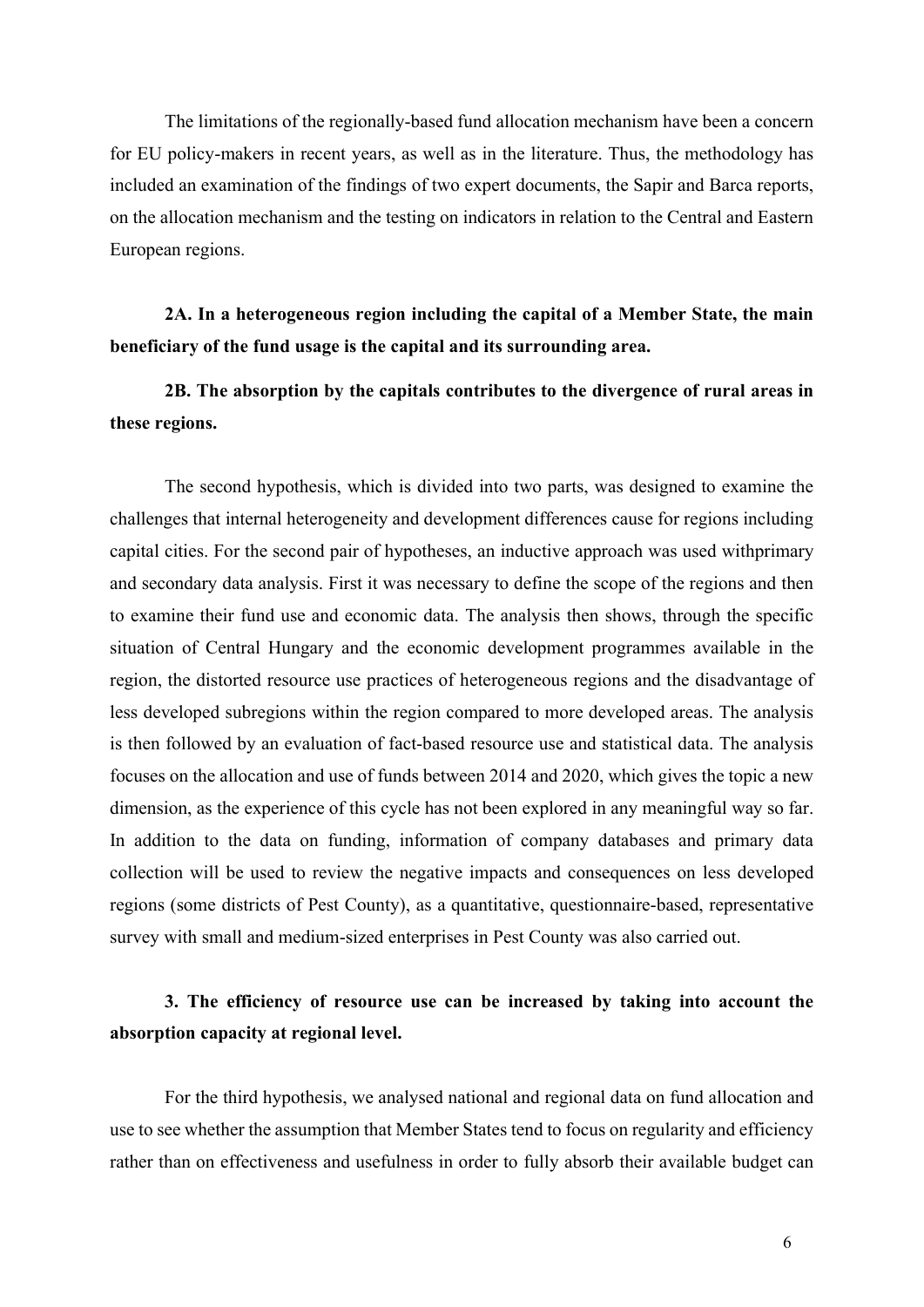The limitations of the regionally-based fund allocation mechanism have been a concern for EU policy-makers in recent years, as well as in the literature. Thus, the methodology has included an examination of the findings of two expert documents, the Sapir and Barca reports, on the allocation mechanism and the testing on indicators in relation to the Central and Eastern European regions.

2A. In a heterogeneous region including the capital of a Member State, the main beneficiary of the fund usage is the capital and its surrounding area.

2B. The absorption by the capitals contributes to the divergence of rural areas in these regions.

The second hypothesis, which is divided into two parts, was designed to examine the challenges that internal heterogeneity and development differences cause for regions including capital cities. For the second pair of hypotheses, an inductive approach was used withprimary and secondary data analysis. First it was necessary to define the scope of the regions and then to examine their fund use and economic data. The analysis then shows, through the specific situation of Central Hungary and the economic development programmes available in the region, the distorted resource use practices of heterogeneous regions and the disadvantage of less developed subregions within the region compared to more developed areas. The analysis is then followed by an evaluation of fact-based resource use and statistical data. The analysis focuses on the allocation and use of funds between 2014 and 2020, which gives the topic a new dimension, as the experience of this cycle has not been explored in any meaningful way so far. In addition to the data on funding, information of company databases and primary data collection will be used to review the negative impacts and consequences on less developed regions (some districts of Pest County), as a quantitative, questionnaire-based, representative survey with small and medium-sized enterprises in Pest County was also carried out.

## 3. The efficiency of resource use can be increased by taking into account the absorption capacity at regional level.

For the third hypothesis, we analysed national and regional data on fund allocation and use to see whether the assumption that Member States tend to focus on regularity and efficiency rather than on effectiveness and usefulness in order to fully absorb their available budget can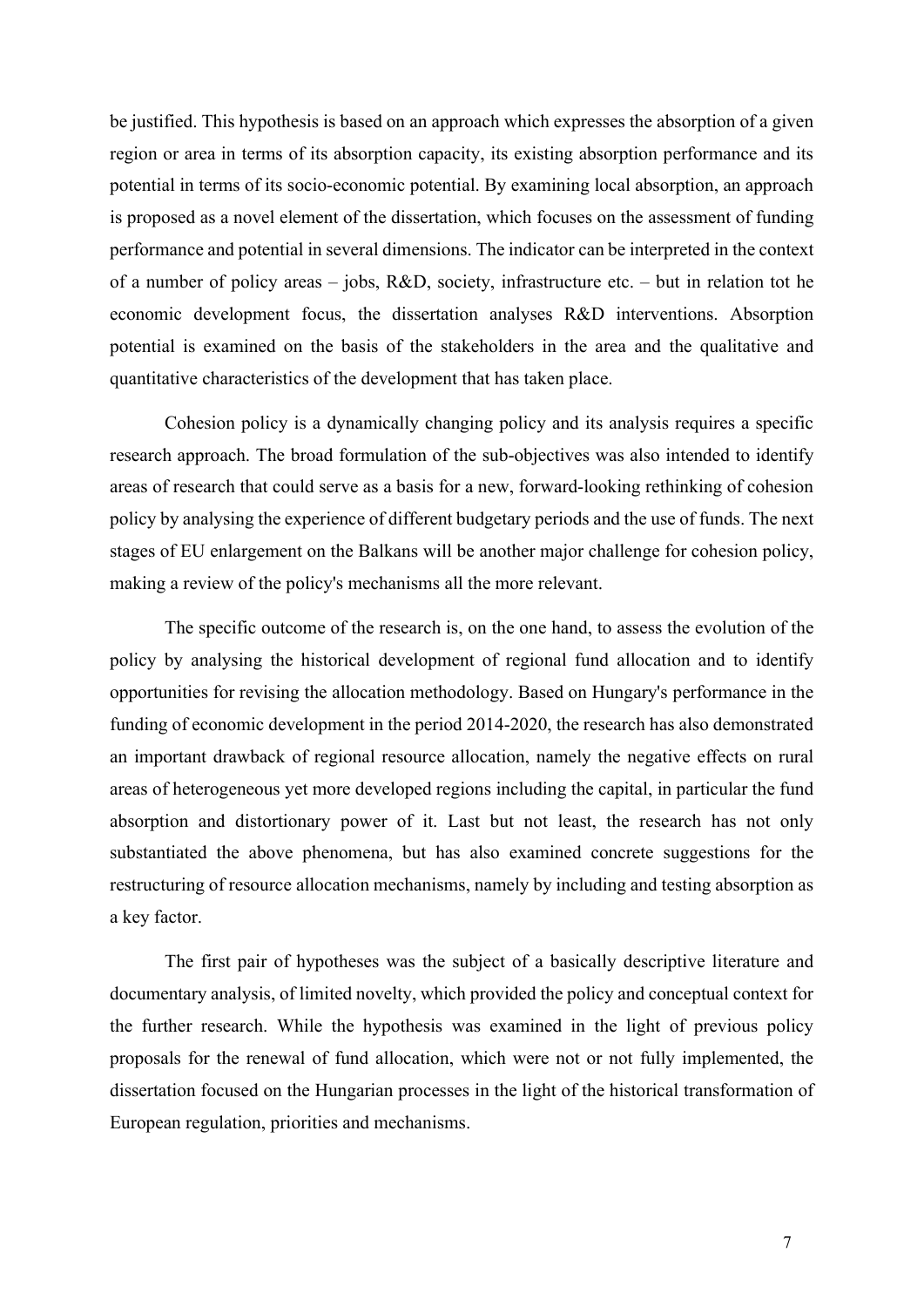be justified. This hypothesis is based on an approach which expresses the absorption of a given region or area in terms of its absorption capacity, its existing absorption performance and its potential in terms of its socio-economic potential. By examining local absorption, an approach is proposed as a novel element of the dissertation, which focuses on the assessment of funding performance and potential in several dimensions. The indicator can be interpreted in the context of a number of policy areas – jobs, R&D, society, infrastructure etc. – but in relation tot he economic development focus, the dissertation analyses R&D interventions. Absorption potential is examined on the basis of the stakeholders in the area and the qualitative and quantitative characteristics of the development that has taken place.

Cohesion policy is a dynamically changing policy and its analysis requires a specific research approach. The broad formulation of the sub-objectives was also intended to identify areas of research that could serve as a basis for a new, forward-looking rethinking of cohesion policy by analysing the experience of different budgetary periods and the use of funds. The next stages of EU enlargement on the Balkans will be another major challenge for cohesion policy, making a review of the policy's mechanisms all the more relevant.

The specific outcome of the research is, on the one hand, to assess the evolution of the policy by analysing the historical development of regional fund allocation and to identify opportunities for revising the allocation methodology. Based on Hungary's performance in the funding of economic development in the period 2014-2020, the research has also demonstrated an important drawback of regional resource allocation, namely the negative effects on rural areas of heterogeneous yet more developed regions including the capital, in particular the fund absorption and distortionary power of it. Last but not least, the research has not only substantiated the above phenomena, but has also examined concrete suggestions for the restructuring of resource allocation mechanisms, namely by including and testing absorption as a key factor.

The first pair of hypotheses was the subject of a basically descriptive literature and documentary analysis, of limited novelty, which provided the policy and conceptual context for the further research. While the hypothesis was examined in the light of previous policy proposals for the renewal of fund allocation, which were not or not fully implemented, the dissertation focused on the Hungarian processes in the light of the historical transformation of European regulation, priorities and mechanisms.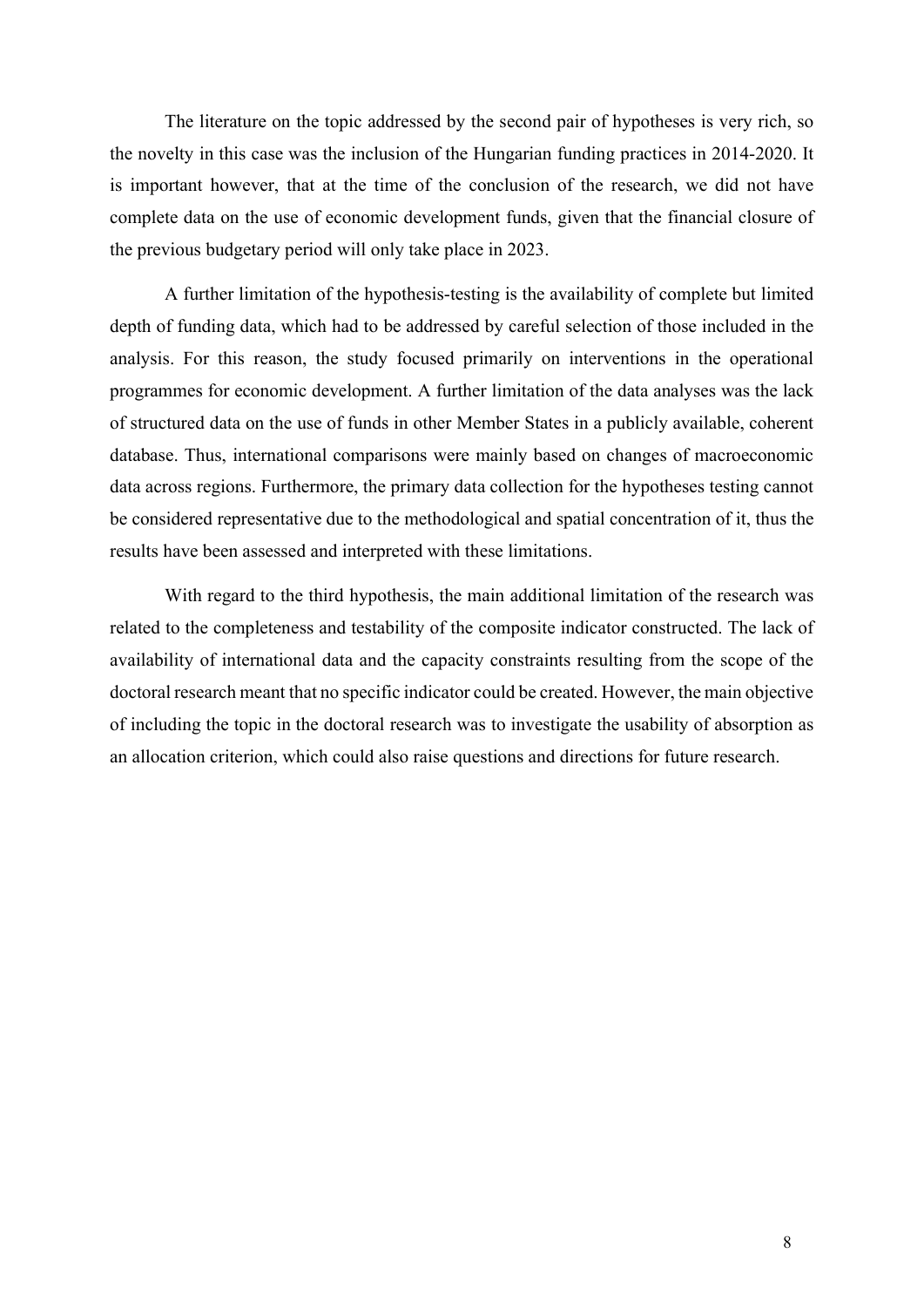The literature on the topic addressed by the second pair of hypotheses is very rich, so the novelty in this case was the inclusion of the Hungarian funding practices in 2014-2020. It is important however, that at the time of the conclusion of the research, we did not have complete data on the use of economic development funds, given that the financial closure of the previous budgetary period will only take place in 2023.

A further limitation of the hypothesis-testing is the availability of complete but limited depth of funding data, which had to be addressed by careful selection of those included in the analysis. For this reason, the study focused primarily on interventions in the operational programmes for economic development. A further limitation of the data analyses was the lack of structured data on the use of funds in other Member States in a publicly available, coherent database. Thus, international comparisons were mainly based on changes of macroeconomic data across regions. Furthermore, the primary data collection for the hypotheses testing cannot be considered representative due to the methodological and spatial concentration of it, thus the results have been assessed and interpreted with these limitations.

With regard to the third hypothesis, the main additional limitation of the research was related to the completeness and testability of the composite indicator constructed. The lack of availability of international data and the capacity constraints resulting from the scope of the doctoral research meant that no specific indicator could be created. However, the main objective of including the topic in the doctoral research was to investigate the usability of absorption as an allocation criterion, which could also raise questions and directions for future research.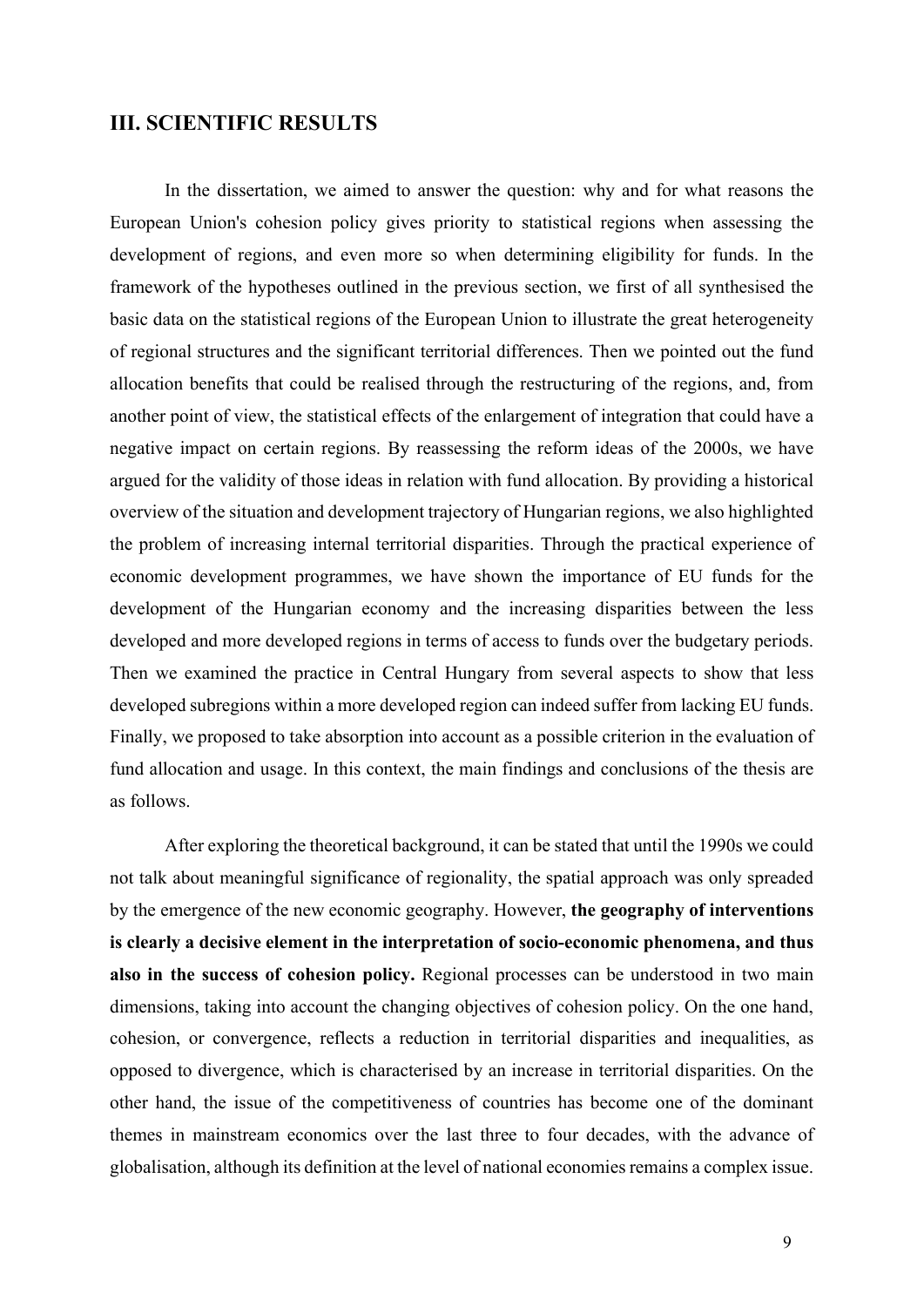#### III. SCIENTIFIC RESULTS

In the dissertation, we aimed to answer the question: why and for what reasons the European Union's cohesion policy gives priority to statistical regions when assessing the development of regions, and even more so when determining eligibility for funds. In the framework of the hypotheses outlined in the previous section, we first of all synthesised the basic data on the statistical regions of the European Union to illustrate the great heterogeneity of regional structures and the significant territorial differences. Then we pointed out the fund allocation benefits that could be realised through the restructuring of the regions, and, from another point of view, the statistical effects of the enlargement of integration that could have a negative impact on certain regions. By reassessing the reform ideas of the 2000s, we have argued for the validity of those ideas in relation with fund allocation. By providing a historical overview of the situation and development trajectory of Hungarian regions, we also highlighted the problem of increasing internal territorial disparities. Through the practical experience of economic development programmes, we have shown the importance of EU funds for the development of the Hungarian economy and the increasing disparities between the less developed and more developed regions in terms of access to funds over the budgetary periods. Then we examined the practice in Central Hungary from several aspects to show that less developed subregions within a more developed region can indeed suffer from lacking EU funds. Finally, we proposed to take absorption into account as a possible criterion in the evaluation of fund allocation and usage. In this context, the main findings and conclusions of the thesis are as follows.

After exploring the theoretical background, it can be stated that until the 1990s we could not talk about meaningful significance of regionality, the spatial approach was only spreaded by the emergence of the new economic geography. However, the geography of interventions is clearly a decisive element in the interpretation of socio-economic phenomena, and thus also in the success of cohesion policy. Regional processes can be understood in two main dimensions, taking into account the changing objectives of cohesion policy. On the one hand, cohesion, or convergence, reflects a reduction in territorial disparities and inequalities, as opposed to divergence, which is characterised by an increase in territorial disparities. On the other hand, the issue of the competitiveness of countries has become one of the dominant themes in mainstream economics over the last three to four decades, with the advance of globalisation, although its definition at the level of national economies remains a complex issue.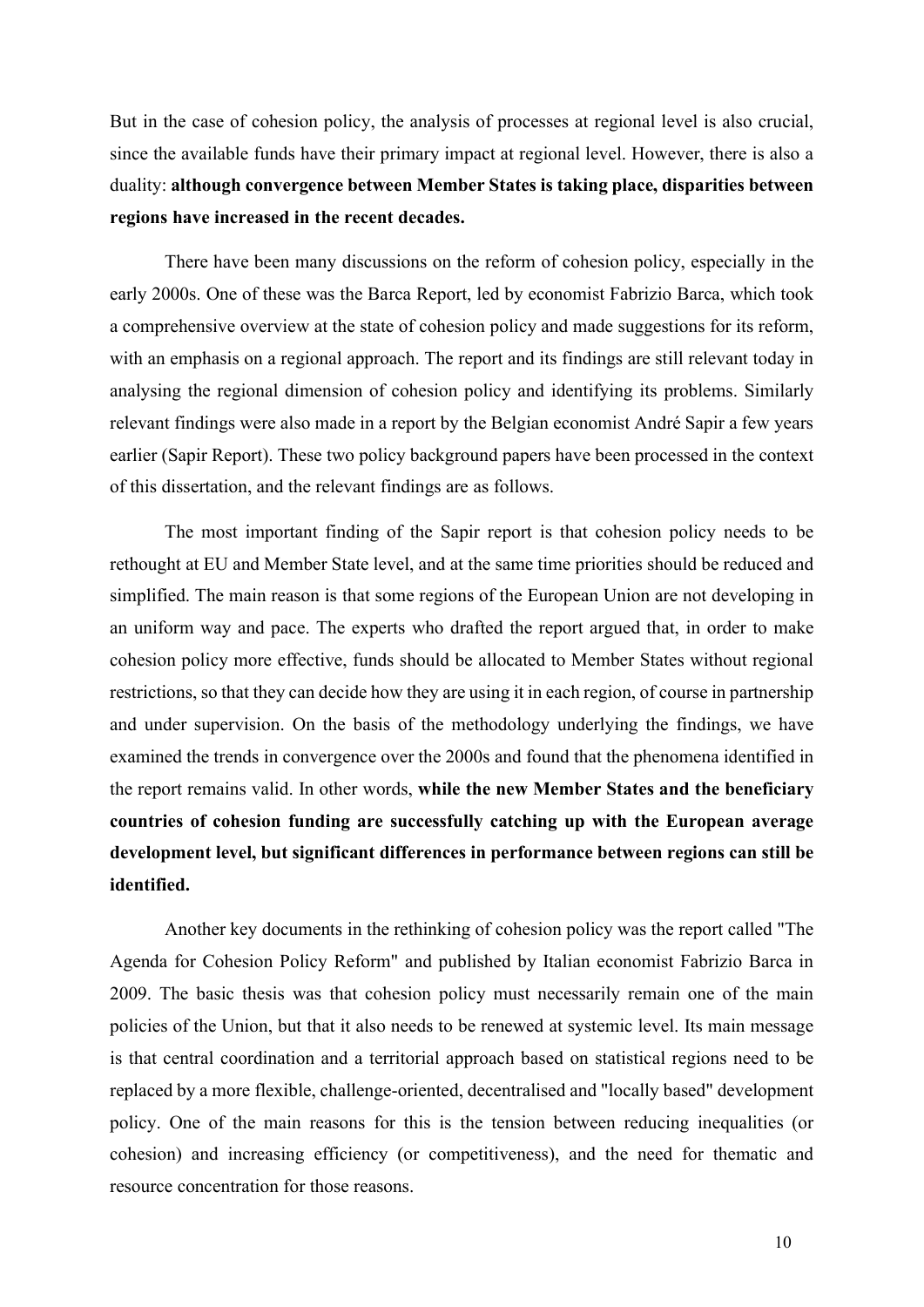But in the case of cohesion policy, the analysis of processes at regional level is also crucial, since the available funds have their primary impact at regional level. However, there is also a duality: although convergence between Member States is taking place, disparities between regions have increased in the recent decades.

There have been many discussions on the reform of cohesion policy, especially in the early 2000s. One of these was the Barca Report, led by economist Fabrizio Barca, which took a comprehensive overview at the state of cohesion policy and made suggestions for its reform, with an emphasis on a regional approach. The report and its findings are still relevant today in analysing the regional dimension of cohesion policy and identifying its problems. Similarly relevant findings were also made in a report by the Belgian economist André Sapir a few years earlier (Sapir Report). These two policy background papers have been processed in the context of this dissertation, and the relevant findings are as follows.

The most important finding of the Sapir report is that cohesion policy needs to be rethought at EU and Member State level, and at the same time priorities should be reduced and simplified. The main reason is that some regions of the European Union are not developing in an uniform way and pace. The experts who drafted the report argued that, in order to make cohesion policy more effective, funds should be allocated to Member States without regional restrictions, so that they can decide how they are using it in each region, of course in partnership and under supervision. On the basis of the methodology underlying the findings, we have examined the trends in convergence over the 2000s and found that the phenomena identified in the report remains valid. In other words, while the new Member States and the beneficiary countries of cohesion funding are successfully catching up with the European average development level, but significant differences in performance between regions can still be identified.

Another key documents in the rethinking of cohesion policy was the report called "The Agenda for Cohesion Policy Reform" and published by Italian economist Fabrizio Barca in 2009. The basic thesis was that cohesion policy must necessarily remain one of the main policies of the Union, but that it also needs to be renewed at systemic level. Its main message is that central coordination and a territorial approach based on statistical regions need to be replaced by a more flexible, challenge-oriented, decentralised and "locally based" development policy. One of the main reasons for this is the tension between reducing inequalities (or cohesion) and increasing efficiency (or competitiveness), and the need for thematic and resource concentration for those reasons.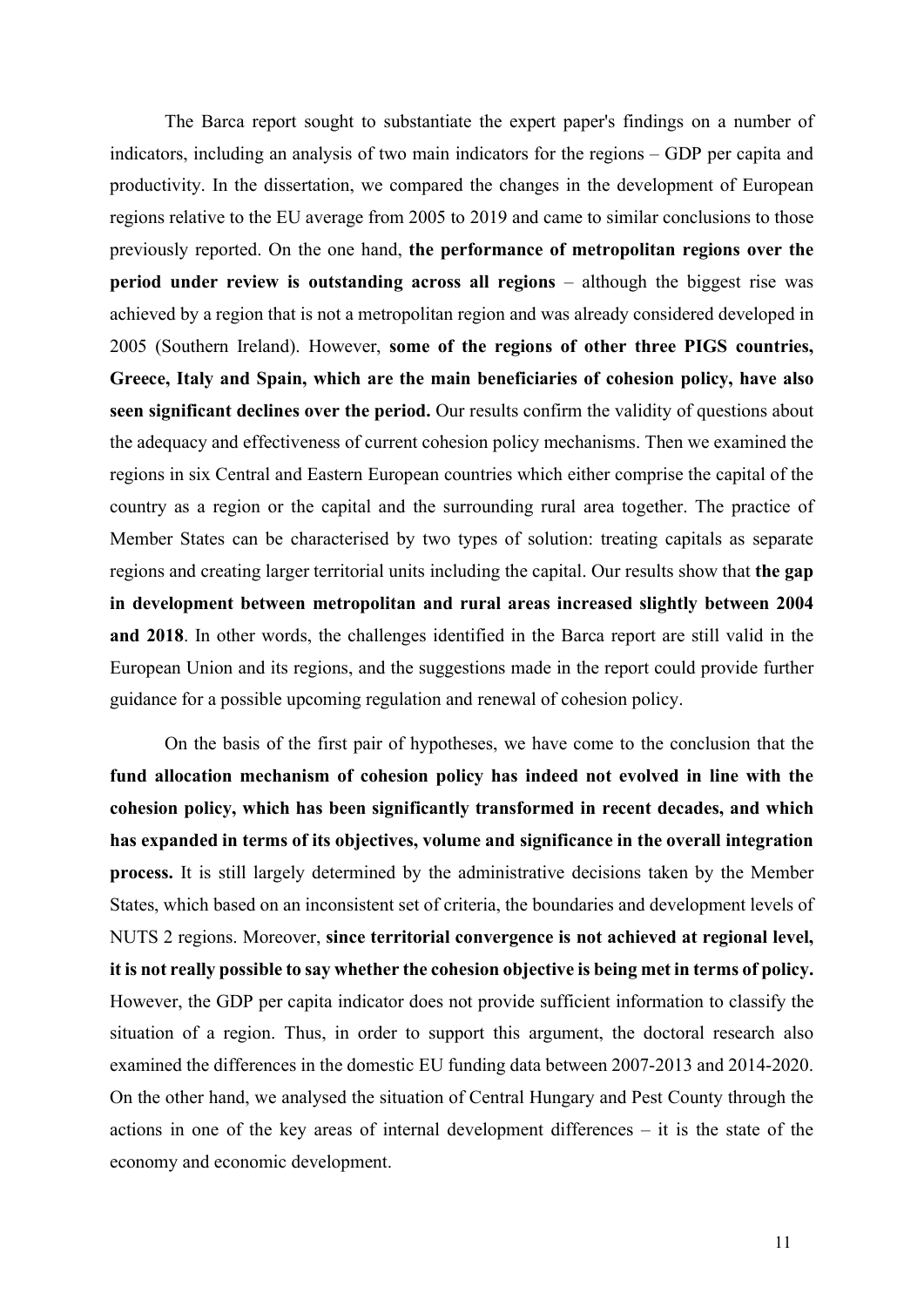The Barca report sought to substantiate the expert paper's findings on a number of indicators, including an analysis of two main indicators for the regions – GDP per capita and productivity. In the dissertation, we compared the changes in the development of European regions relative to the EU average from 2005 to 2019 and came to similar conclusions to those previously reported. On the one hand, the performance of metropolitan regions over the period under review is outstanding across all regions – although the biggest rise was achieved by a region that is not a metropolitan region and was already considered developed in 2005 (Southern Ireland). However, some of the regions of other three PIGS countries, Greece, Italy and Spain, which are the main beneficiaries of cohesion policy, have also seen significant declines over the period. Our results confirm the validity of questions about the adequacy and effectiveness of current cohesion policy mechanisms. Then we examined the regions in six Central and Eastern European countries which either comprise the capital of the country as a region or the capital and the surrounding rural area together. The practice of Member States can be characterised by two types of solution: treating capitals as separate regions and creating larger territorial units including the capital. Our results show that the gap in development between metropolitan and rural areas increased slightly between 2004 and 2018. In other words, the challenges identified in the Barca report are still valid in the European Union and its regions, and the suggestions made in the report could provide further guidance for a possible upcoming regulation and renewal of cohesion policy.

On the basis of the first pair of hypotheses, we have come to the conclusion that the fund allocation mechanism of cohesion policy has indeed not evolved in line with the cohesion policy, which has been significantly transformed in recent decades, and which has expanded in terms of its objectives, volume and significance in the overall integration process. It is still largely determined by the administrative decisions taken by the Member States, which based on an inconsistent set of criteria, the boundaries and development levels of NUTS 2 regions. Moreover, since territorial convergence is not achieved at regional level, it is not really possible to say whether the cohesion objective is being met in terms of policy. However, the GDP per capita indicator does not provide sufficient information to classify the situation of a region. Thus, in order to support this argument, the doctoral research also examined the differences in the domestic EU funding data between 2007-2013 and 2014-2020. On the other hand, we analysed the situation of Central Hungary and Pest County through the actions in one of the key areas of internal development differences – it is the state of the economy and economic development.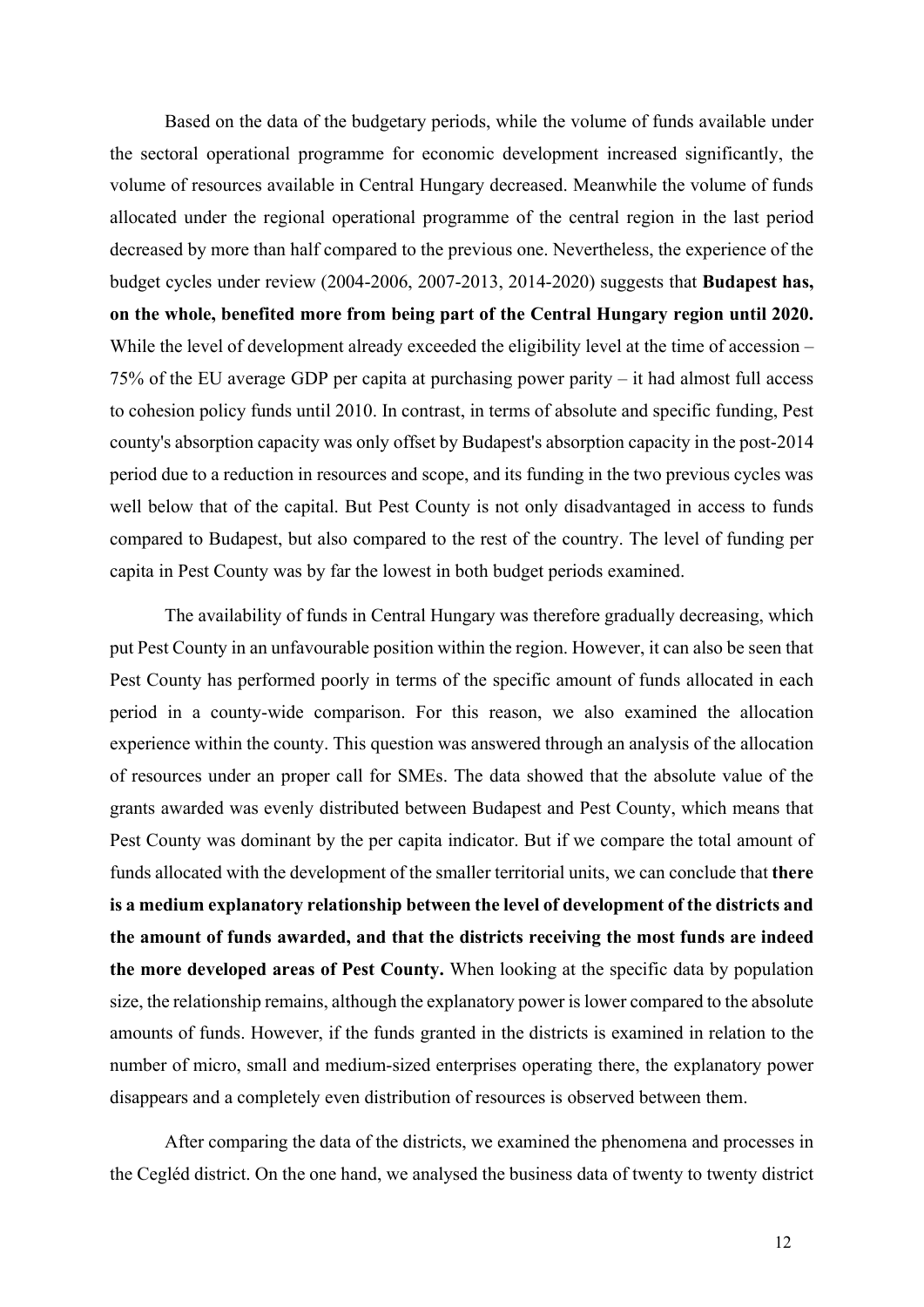Based on the data of the budgetary periods, while the volume of funds available under the sectoral operational programme for economic development increased significantly, the volume of resources available in Central Hungary decreased. Meanwhile the volume of funds allocated under the regional operational programme of the central region in the last period decreased by more than half compared to the previous one. Nevertheless, the experience of the budget cycles under review (2004-2006, 2007-2013, 2014-2020) suggests that Budapest has, on the whole, benefited more from being part of the Central Hungary region until 2020. While the level of development already exceeded the eligibility level at the time of accession – 75% of the EU average GDP per capita at purchasing power parity – it had almost full access to cohesion policy funds until 2010. In contrast, in terms of absolute and specific funding, Pest county's absorption capacity was only offset by Budapest's absorption capacity in the post-2014 period due to a reduction in resources and scope, and its funding in the two previous cycles was well below that of the capital. But Pest County is not only disadvantaged in access to funds compared to Budapest, but also compared to the rest of the country. The level of funding per capita in Pest County was by far the lowest in both budget periods examined.

The availability of funds in Central Hungary was therefore gradually decreasing, which put Pest County in an unfavourable position within the region. However, it can also be seen that Pest County has performed poorly in terms of the specific amount of funds allocated in each period in a county-wide comparison. For this reason, we also examined the allocation experience within the county. This question was answered through an analysis of the allocation of resources under an proper call for SMEs. The data showed that the absolute value of the grants awarded was evenly distributed between Budapest and Pest County, which means that Pest County was dominant by the per capita indicator. But if we compare the total amount of funds allocated with the development of the smaller territorial units, we can conclude that there is a medium explanatory relationship between the level of development of the districts and the amount of funds awarded, and that the districts receiving the most funds are indeed the more developed areas of Pest County. When looking at the specific data by population size, the relationship remains, although the explanatory power is lower compared to the absolute amounts of funds. However, if the funds granted in the districts is examined in relation to the number of micro, small and medium-sized enterprises operating there, the explanatory power disappears and a completely even distribution of resources is observed between them.

After comparing the data of the districts, we examined the phenomena and processes in the Cegléd district. On the one hand, we analysed the business data of twenty to twenty district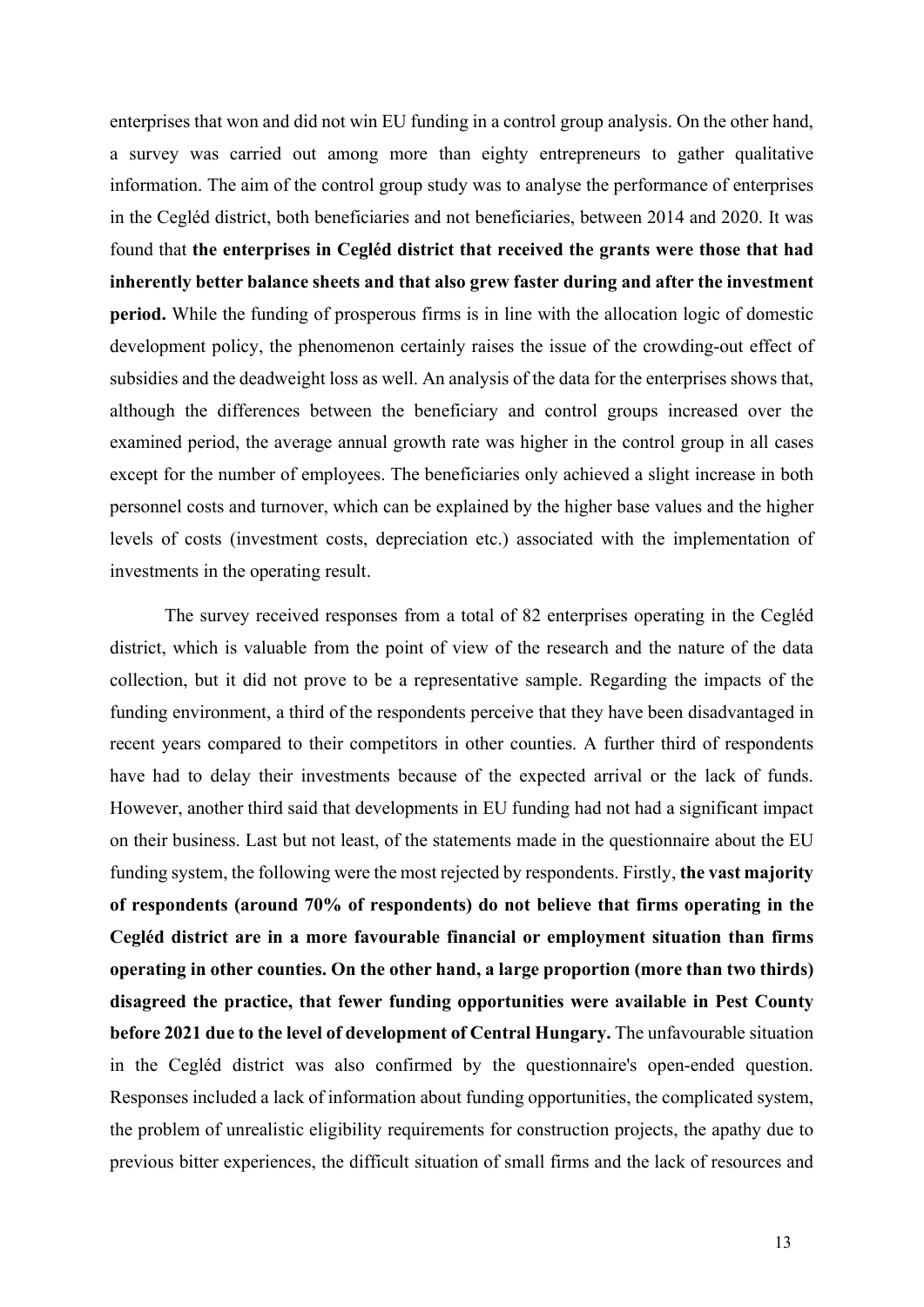enterprises that won and did not win EU funding in a control group analysis. On the other hand, a survey was carried out among more than eighty entrepreneurs to gather qualitative information. The aim of the control group study was to analyse the performance of enterprises in the Cegléd district, both beneficiaries and not beneficiaries, between 2014 and 2020. It was found that the enterprises in Cegléd district that received the grants were those that had inherently better balance sheets and that also grew faster during and after the investment period. While the funding of prosperous firms is in line with the allocation logic of domestic development policy, the phenomenon certainly raises the issue of the crowding-out effect of subsidies and the deadweight loss as well. An analysis of the data for the enterprises shows that, although the differences between the beneficiary and control groups increased over the examined period, the average annual growth rate was higher in the control group in all cases except for the number of employees. The beneficiaries only achieved a slight increase in both personnel costs and turnover, which can be explained by the higher base values and the higher levels of costs (investment costs, depreciation etc.) associated with the implementation of investments in the operating result.

The survey received responses from a total of 82 enterprises operating in the Cegléd district, which is valuable from the point of view of the research and the nature of the data collection, but it did not prove to be a representative sample. Regarding the impacts of the funding environment, a third of the respondents perceive that they have been disadvantaged in recent years compared to their competitors in other counties. A further third of respondents have had to delay their investments because of the expected arrival or the lack of funds. However, another third said that developments in EU funding had not had a significant impact on their business. Last but not least, of the statements made in the questionnaire about the EU funding system, the following were the most rejected by respondents. Firstly, the vast majority of respondents (around 70% of respondents) do not believe that firms operating in the Cegléd district are in a more favourable financial or employment situation than firms operating in other counties. On the other hand, a large proportion (more than two thirds) disagreed the practice, that fewer funding opportunities were available in Pest County before 2021 due to the level of development of Central Hungary. The unfavourable situation in the Cegléd district was also confirmed by the questionnaire's open-ended question. Responses included a lack of information about funding opportunities, the complicated system, the problem of unrealistic eligibility requirements for construction projects, the apathy due to previous bitter experiences, the difficult situation of small firms and the lack of resources and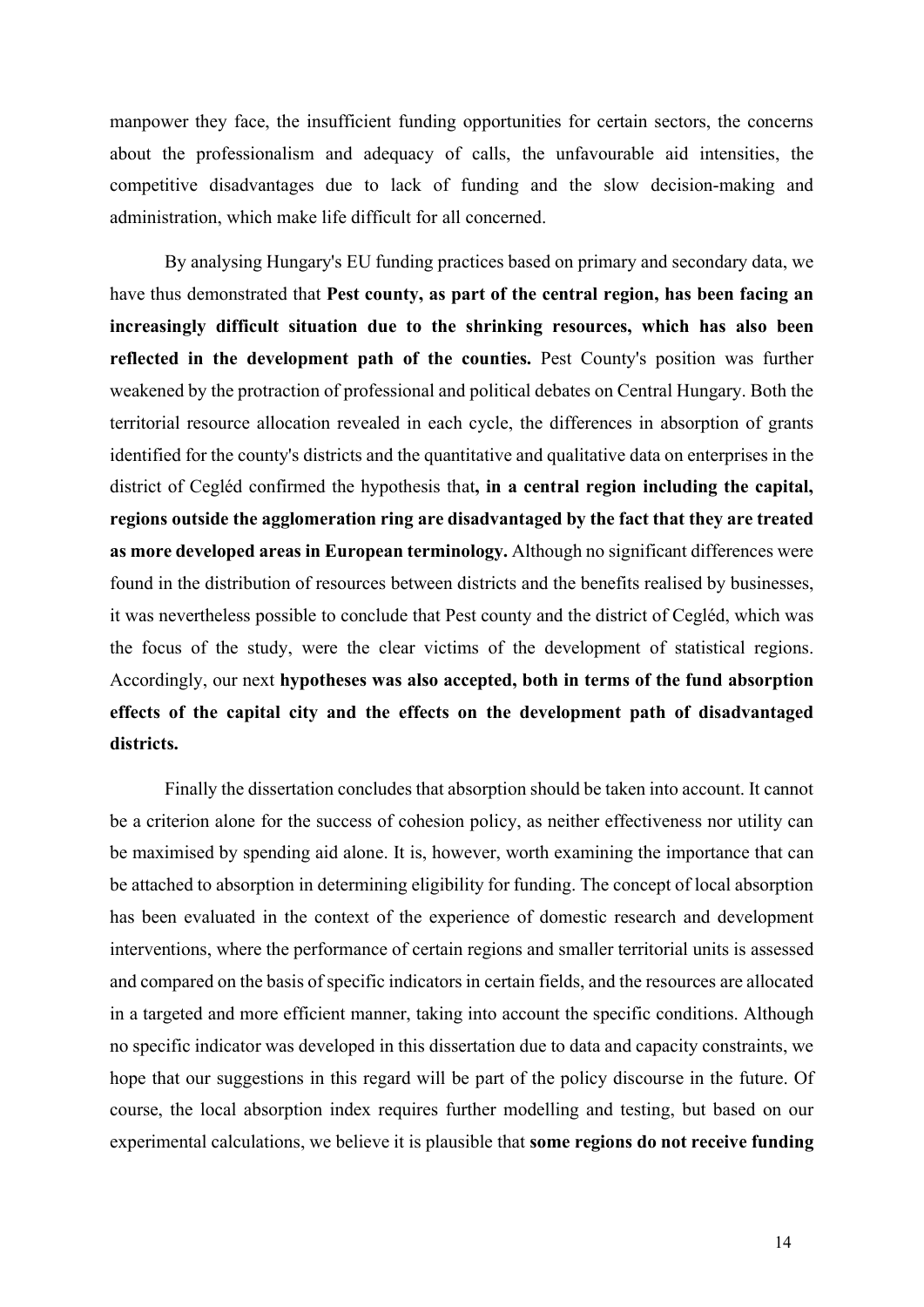manpower they face, the insufficient funding opportunities for certain sectors, the concerns about the professionalism and adequacy of calls, the unfavourable aid intensities, the competitive disadvantages due to lack of funding and the slow decision-making and administration, which make life difficult for all concerned.

By analysing Hungary's EU funding practices based on primary and secondary data, we have thus demonstrated that Pest county, as part of the central region, has been facing an increasingly difficult situation due to the shrinking resources, which has also been reflected in the development path of the counties. Pest County's position was further weakened by the protraction of professional and political debates on Central Hungary. Both the territorial resource allocation revealed in each cycle, the differences in absorption of grants identified for the county's districts and the quantitative and qualitative data on enterprises in the district of Cegléd confirmed the hypothesis that, in a central region including the capital, regions outside the agglomeration ring are disadvantaged by the fact that they are treated as more developed areas in European terminology. Although no significant differences were found in the distribution of resources between districts and the benefits realised by businesses, it was nevertheless possible to conclude that Pest county and the district of Cegléd, which was the focus of the study, were the clear victims of the development of statistical regions. Accordingly, our next hypotheses was also accepted, both in terms of the fund absorption effects of the capital city and the effects on the development path of disadvantaged districts.

Finally the dissertation concludes that absorption should be taken into account. It cannot be a criterion alone for the success of cohesion policy, as neither effectiveness nor utility can be maximised by spending aid alone. It is, however, worth examining the importance that can be attached to absorption in determining eligibility for funding. The concept of local absorption has been evaluated in the context of the experience of domestic research and development interventions, where the performance of certain regions and smaller territorial units is assessed and compared on the basis of specific indicators in certain fields, and the resources are allocated in a targeted and more efficient manner, taking into account the specific conditions. Although no specific indicator was developed in this dissertation due to data and capacity constraints, we hope that our suggestions in this regard will be part of the policy discourse in the future. Of course, the local absorption index requires further modelling and testing, but based on our experimental calculations, we believe it is plausible that some regions do not receive funding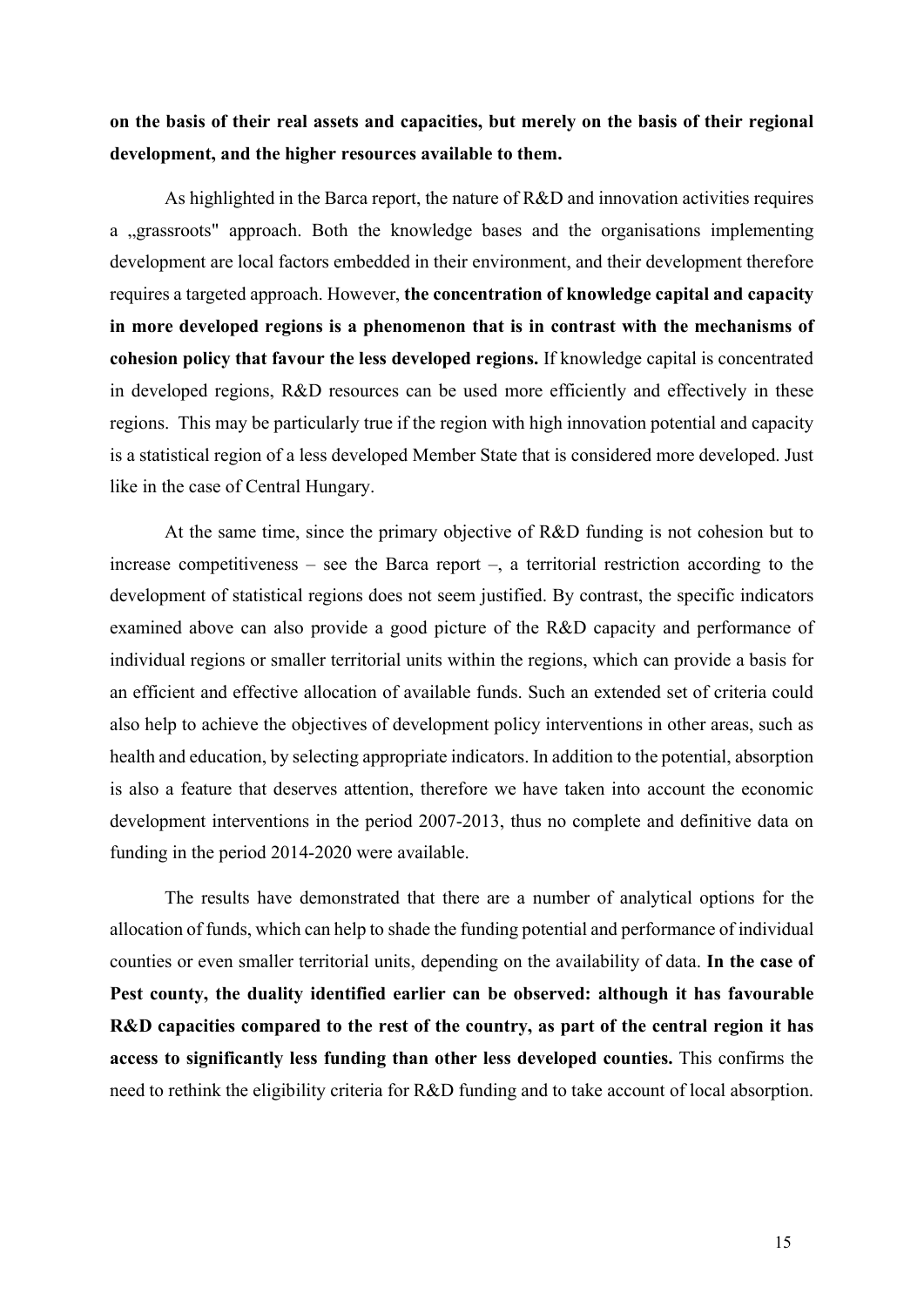on the basis of their real assets and capacities, but merely on the basis of their regional development, and the higher resources available to them.

As highlighted in the Barca report, the nature of R&D and innovation activities requires a "grassroots" approach. Both the knowledge bases and the organisations implementing development are local factors embedded in their environment, and their development therefore requires a targeted approach. However, the concentration of knowledge capital and capacity in more developed regions is a phenomenon that is in contrast with the mechanisms of cohesion policy that favour the less developed regions. If knowledge capital is concentrated in developed regions, R&D resources can be used more efficiently and effectively in these regions. This may be particularly true if the region with high innovation potential and capacity is a statistical region of a less developed Member State that is considered more developed. Just like in the case of Central Hungary.

At the same time, since the primary objective of R&D funding is not cohesion but to increase competitiveness – see the Barca report –, a territorial restriction according to the development of statistical regions does not seem justified. By contrast, the specific indicators examined above can also provide a good picture of the R&D capacity and performance of individual regions or smaller territorial units within the regions, which can provide a basis for an efficient and effective allocation of available funds. Such an extended set of criteria could also help to achieve the objectives of development policy interventions in other areas, such as health and education, by selecting appropriate indicators. In addition to the potential, absorption is also a feature that deserves attention, therefore we have taken into account the economic development interventions in the period 2007-2013, thus no complete and definitive data on funding in the period 2014-2020 were available.

The results have demonstrated that there are a number of analytical options for the allocation of funds, which can help to shade the funding potential and performance of individual counties or even smaller territorial units, depending on the availability of data. In the case of Pest county, the duality identified earlier can be observed: although it has favourable R&D capacities compared to the rest of the country, as part of the central region it has access to significantly less funding than other less developed counties. This confirms the need to rethink the eligibility criteria for R&D funding and to take account of local absorption.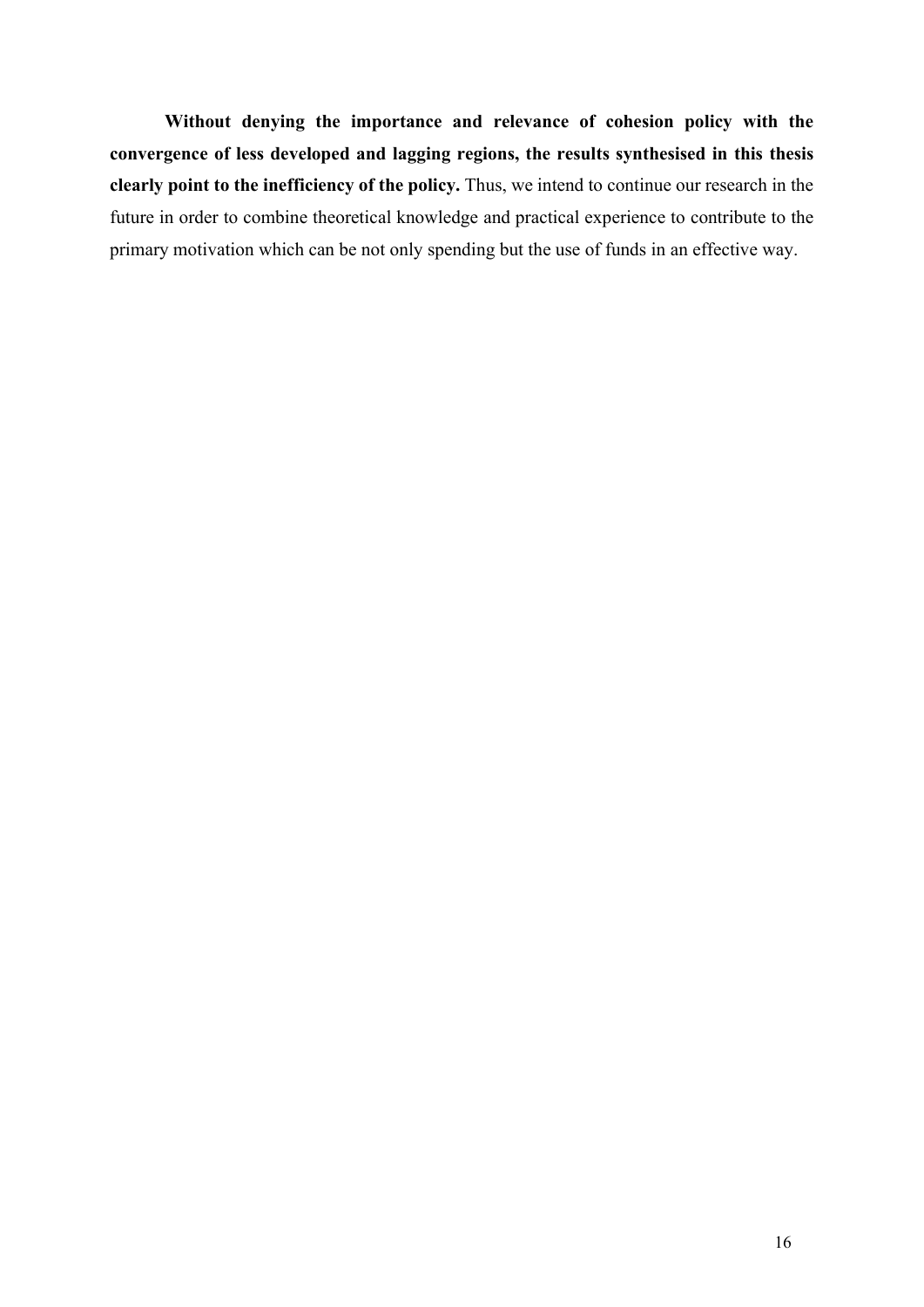Without denying the importance and relevance of cohesion policy with the convergence of less developed and lagging regions, the results synthesised in this thesis clearly point to the inefficiency of the policy. Thus, we intend to continue our research in the future in order to combine theoretical knowledge and practical experience to contribute to the primary motivation which can be not only spending but the use of funds in an effective way.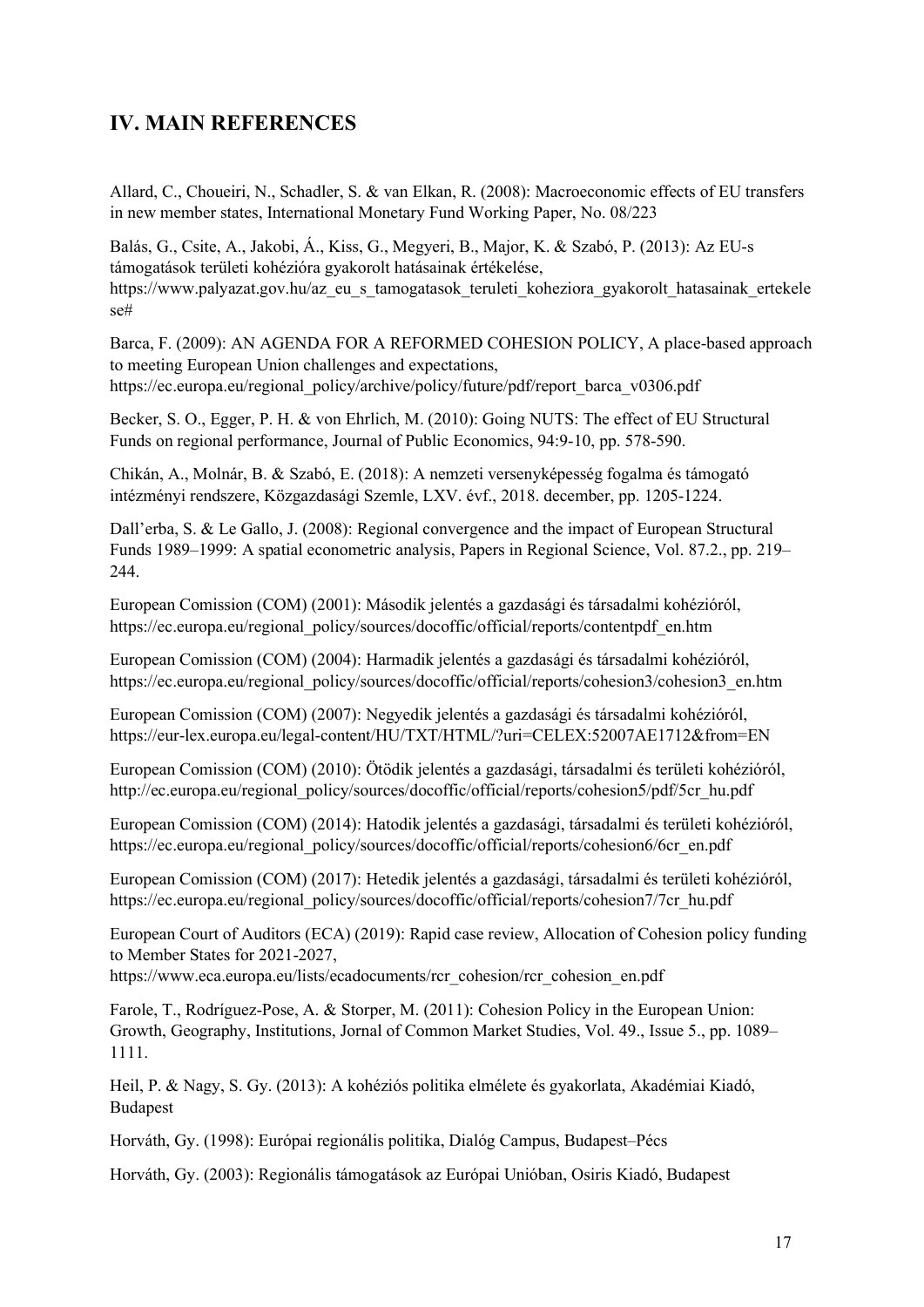## IV. MAIN REFERENCES

Allard, C., Choueiri, N., Schadler, S. & van Elkan, R. (2008): Macroeconomic effects of EU transfers in new member states, International Monetary Fund Working Paper, No. 08/223

Balás, G., Csite, A., Jakobi, Á., Kiss, G., Megyeri, B., Major, K. & Szabó, P. (2013): Az EU-s támogatások területi kohézióra gyakorolt hatásainak értékelése, https://www.palyazat.gov.hu/az\_eu\_s\_tamogatasok\_teruleti\_koheziora\_gyakorolt\_hatasainak\_ertekele se#

Barca, F. (2009): AN AGENDA FOR A REFORMED COHESION POLICY, A place-based approach to meeting European Union challenges and expectations, https://ec.europa.eu/regional\_policy/archive/policy/future/pdf/report\_barca\_v0306.pdf

Becker, S. O., Egger, P. H. & von Ehrlich, M. (2010): Going NUTS: The effect of EU Structural Funds on regional performance, Journal of Public Economics, 94:9-10, pp. 578-590.

Chikán, A., Molnár, B. & Szabó, E. (2018): A nemzeti versenyképesség fogalma és támogató intézményi rendszere, Közgazdasági Szemle, LXV. évf., 2018. december, pp. 1205-1224.

Dall'erba, S. & Le Gallo, J. (2008): Regional convergence and the impact of European Structural Funds 1989–1999: A spatial econometric analysis, Papers in Regional Science, Vol. 87.2., pp. 219– 244.

European Comission (COM) (2001): Második jelentés a gazdasági és társadalmi kohézióról, https://ec.europa.eu/regional\_policy/sources/docoffic/official/reports/contentpdf\_en.htm

European Comission (COM) (2004): Harmadik jelentés a gazdasági és társadalmi kohézióról, https://ec.europa.eu/regional\_policy/sources/docoffic/official/reports/cohesion3/cohesion3\_en.htm

European Comission (COM) (2007): Negyedik jelentés a gazdasági és társadalmi kohézióról, https://eur-lex.europa.eu/legal-content/HU/TXT/HTML/?uri=CELEX:52007AE1712&from=EN

European Comission (COM) (2010): Ötödik jelentés a gazdasági, társadalmi és területi kohézióról, http://ec.europa.eu/regional\_policy/sources/docoffic/official/reports/cohesion5/pdf/5cr\_hu.pdf

European Comission (COM) (2014): Hatodik jelentés a gazdasági, társadalmi és területi kohézióról, https://ec.europa.eu/regional\_policy/sources/docoffic/official/reports/cohesion6/6cr\_en.pdf

European Comission (COM) (2017): Hetedik jelentés a gazdasági, társadalmi és területi kohézióról, https://ec.europa.eu/regional\_policy/sources/docoffic/official/reports/cohesion7/7cr\_hu.pdf

European Court of Auditors (ECA) (2019): Rapid case review, Allocation of Cohesion policy funding to Member States for 2021-2027,

https://www.eca.europa.eu/lists/ecadocuments/rcr\_cohesion/rcr\_cohesion\_en.pdf

Farole, T., Rodríguez-Pose, A. & Storper, M. (2011): Cohesion Policy in the European Union: Growth, Geography, Institutions, Jornal of Common Market Studies, Vol. 49., Issue 5., pp. 1089– 1111.

Heil, P. & Nagy, S. Gy. (2013): A kohéziós politika elmélete és gyakorlata, Akadémiai Kiadó, Budapest

Horváth, Gy. (1998): Európai regionális politika, Dialóg Campus, Budapest–Pécs

Horváth, Gy. (2003): Regionális támogatások az Európai Unióban, Osiris Kiadó, Budapest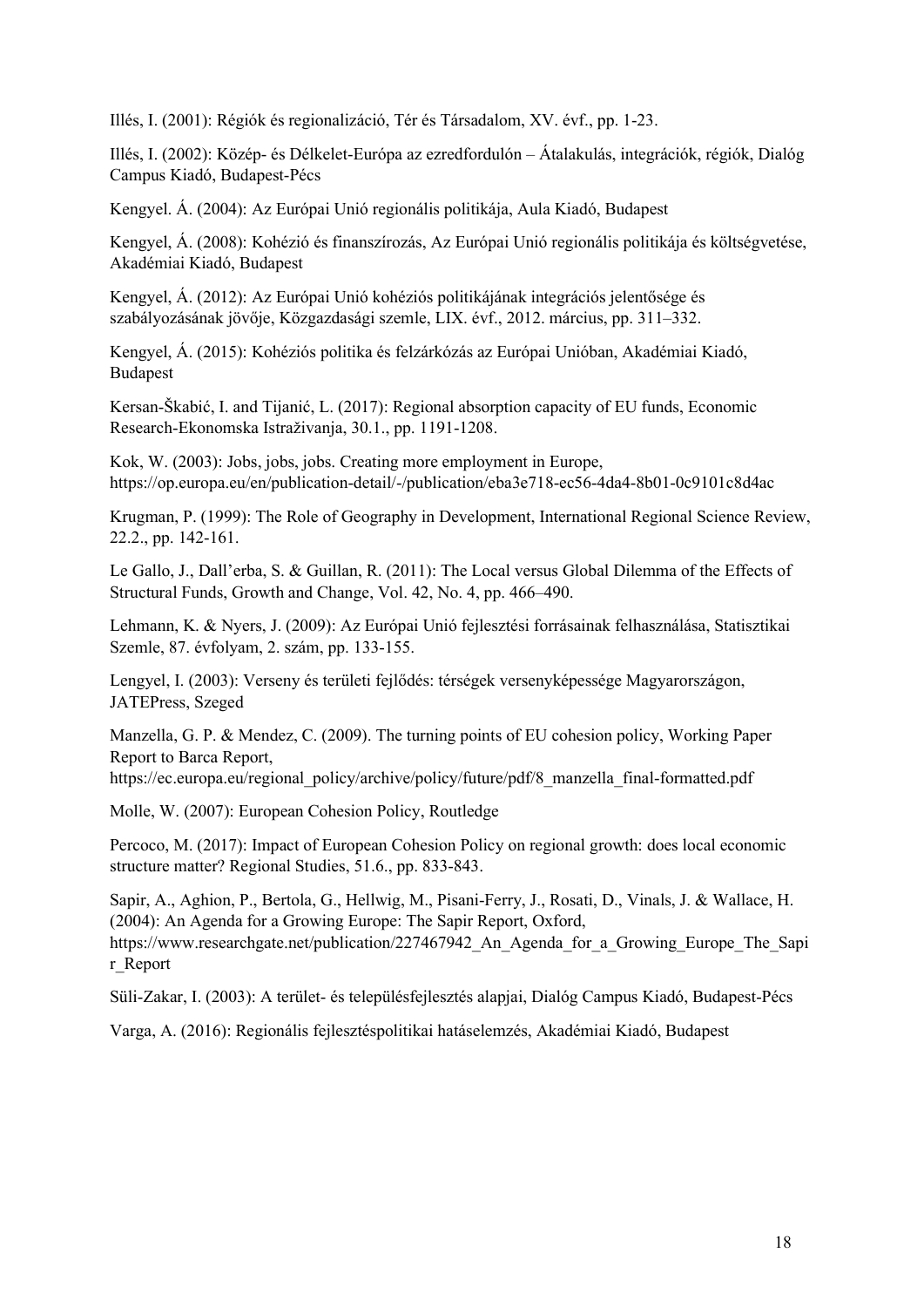Illés, I. (2001): Régiók és regionalizáció, Tér és Társadalom, XV. évf., pp. 1-23.

Illés, I. (2002): Közép- és Délkelet-Európa az ezredfordulón – Átalakulás, integrációk, régiók, Dialóg Campus Kiadó, Budapest-Pécs

Kengyel. Á. (2004): Az Európai Unió regionális politikája, Aula Kiadó, Budapest

Kengyel, Á. (2008): Kohézió és finanszírozás, Az Európai Unió regionális politikája és költségvetése, Akadémiai Kiadó, Budapest

Kengyel, Á. (2012): Az Európai Unió kohéziós politikájának integrációs jelentősége és szabályozásának jövője, Közgazdasági szemle, LIX. évf., 2012. március, pp. 311–332.

Kengyel, Á. (2015): Kohéziós politika és felzárkózás az Európai Unióban, Akadémiai Kiadó, Budapest

Kersan-Škabić, I. and Tijanić, L. (2017): Regional absorption capacity of EU funds, Economic Research-Ekonomska Istraživanja, 30.1., pp. 1191-1208.

Kok, W. (2003): Jobs, jobs, jobs. Creating more employment in Europe, https://op.europa.eu/en/publication-detail/-/publication/eba3e718-ec56-4da4-8b01-0c9101c8d4ac

Krugman, P. (1999): The Role of Geography in Development, International Regional Science Review, 22.2., pp. 142-161.

Le Gallo, J., Dall'erba, S. & Guillan, R. (2011): The Local versus Global Dilemma of the Effects of Structural Funds, Growth and Change, Vol. 42, No. 4, pp. 466–490.

Lehmann, K. & Nyers, J. (2009): Az Európai Unió fejlesztési forrásainak felhasználása, Statisztikai Szemle, 87. évfolyam, 2. szám, pp. 133-155.

Lengyel, I. (2003): Verseny és területi fejlődés: térségek versenyképessége Magyarországon, JATEPress, Szeged

Manzella, G. P. & Mendez, C. (2009). The turning points of EU cohesion policy, Working Paper Report to Barca Report,

https://ec.europa.eu/regional\_policy/archive/policy/future/pdf/8\_manzella\_final-formatted.pdf

Molle, W. (2007): European Cohesion Policy, Routledge

Percoco, M. (2017): Impact of European Cohesion Policy on regional growth: does local economic structure matter? Regional Studies, 51.6., pp. 833-843.

Sapir, A., Aghion, P., Bertola, G., Hellwig, M., Pisani-Ferry, J., Rosati, D., Vinals, J. & Wallace, H. (2004): An Agenda for a Growing Europe: The Sapir Report, Oxford, https://www.researchgate.net/publication/227467942 An Agenda for a Growing Europe The Sapi r\_Report

Süli-Zakar, I. (2003): A terület- és településfejlesztés alapjai, Dialóg Campus Kiadó, Budapest-Pécs

Varga, A. (2016): Regionális fejlesztéspolitikai hatáselemzés, Akadémiai Kiadó, Budapest